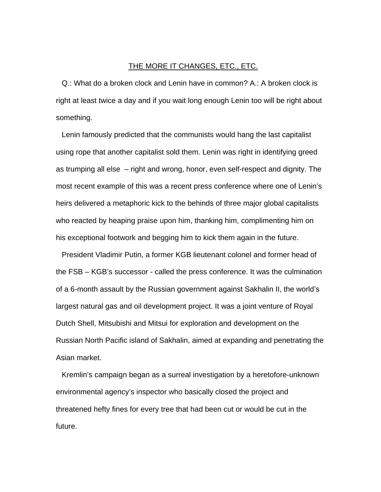## THE MORE IT CHANGES, ETC., ETC.

Q.: What do a broken clock and Lenin have in common? A.: A broken clock is right at least twice a day and if you wait long enough Lenin too will be right about something.

Lenin famously predicted that the communists would hang the last capitalist using rope that another capitalist sold them. Lenin was right in identifying greed as trumping all else – right and wrong, honor, even self-respect and dignity. The most recent example of this was a recent press conference where one of Lenin's heirs delivered a metaphoric kick to the behinds of three major global capitalists who reacted by heaping praise upon him, thanking him, complimenting him on his exceptional footwork and begging him to kick them again in the future.

President Vladimir Putin, a former KGB lieutenant colonel and former head of the FSB – KGB's successor - called the press conference. It was the culmination of a 6-month assault by the Russian government against Sakhalin II, the world's largest natural gas and oil development project. It was a joint venture of Royal Dutch Shell, Mitsubishi and Mitsui for exploration and development on the Russian North Pacific island of Sakhalin, aimed at expanding and penetrating the Asian market.

Kremlin's campaign began as a surreal investigation by a heretofore-unknown environmental agency's inspector who basically closed the project and threatened hefty fines for every tree that had been cut or would be cut in the future.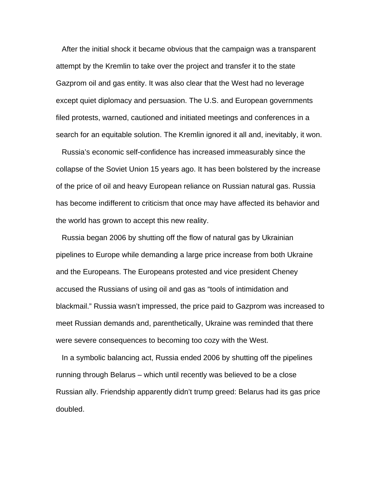After the initial shock it became obvious that the campaign was a transparent attempt by the Kremlin to take over the project and transfer it to the state Gazprom oil and gas entity. It was also clear that the West had no leverage except quiet diplomacy and persuasion. The U.S. and European governments filed protests, warned, cautioned and initiated meetings and conferences in a search for an equitable solution. The Kremlin ignored it all and, inevitably, it won.

Russia's economic self-confidence has increased immeasurably since the collapse of the Soviet Union 15 years ago. It has been bolstered by the increase of the price of oil and heavy European reliance on Russian natural gas. Russia has become indifferent to criticism that once may have affected its behavior and the world has grown to accept this new reality.

Russia began 2006 by shutting off the flow of natural gas by Ukrainian pipelines to Europe while demanding a large price increase from both Ukraine and the Europeans. The Europeans protested and vice president Cheney accused the Russians of using oil and gas as "tools of intimidation and blackmail." Russia wasn't impressed, the price paid to Gazprom was increased to meet Russian demands and, parenthetically, Ukraine was reminded that there were severe consequences to becoming too cozy with the West.

In a symbolic balancing act, Russia ended 2006 by shutting off the pipelines running through Belarus – which until recently was believed to be a close Russian ally. Friendship apparently didn't trump greed: Belarus had its gas price doubled.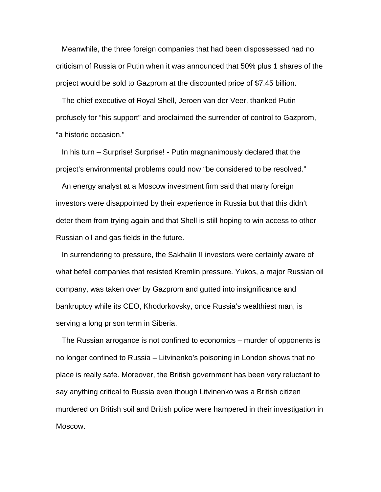Meanwhile, the three foreign companies that had been dispossessed had no criticism of Russia or Putin when it was announced that 50% plus 1 shares of the project would be sold to Gazprom at the discounted price of \$7.45 billion.

The chief executive of Royal Shell, Jeroen van der Veer, thanked Putin profusely for "his support" and proclaimed the surrender of control to Gazprom, "a historic occasion."

In his turn – Surprise! Surprise! - Putin magnanimously declared that the project's environmental problems could now "be considered to be resolved."

An energy analyst at a Moscow investment firm said that many foreign investors were disappointed by their experience in Russia but that this didn't deter them from trying again and that Shell is still hoping to win access to other Russian oil and gas fields in the future.

In surrendering to pressure, the Sakhalin II investors were certainly aware of what befell companies that resisted Kremlin pressure. Yukos, a major Russian oil company, was taken over by Gazprom and gutted into insignificance and bankruptcy while its CEO, Khodorkovsky, once Russia's wealthiest man, is serving a long prison term in Siberia.

The Russian arrogance is not confined to economics – murder of opponents is no longer confined to Russia – Litvinenko's poisoning in London shows that no place is really safe. Moreover, the British government has been very reluctant to say anything critical to Russia even though Litvinenko was a British citizen murdered on British soil and British police were hampered in their investigation in Moscow.